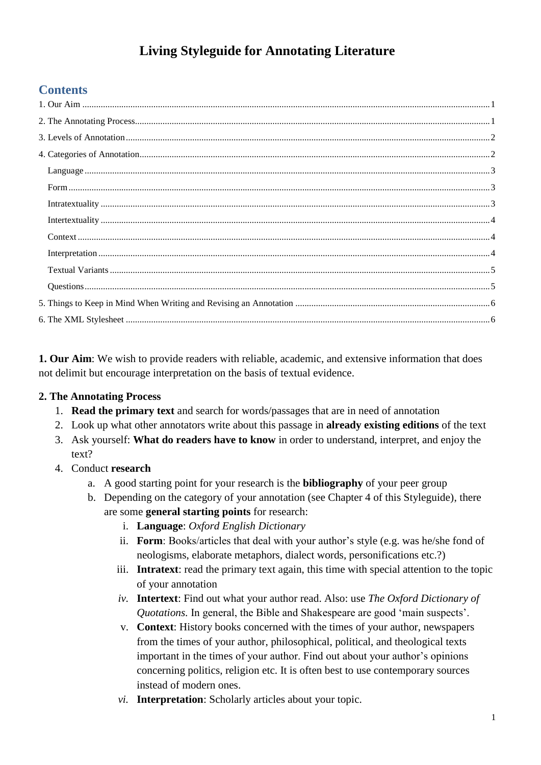# **Living Styleguide for Annotating Literature**

## **Contents**

<span id="page-0-0"></span>**1. Our Aim**: We wish to provide readers with reliable, academic, and extensive information that does not delimit but encourage interpretation on the basis of textual evidence.

## <span id="page-0-1"></span>**2. The Annotating Process**

- 1. **Read the primary text** and search for words/passages that are in need of annotation
- 2. Look up what other annotators write about this passage in **already existing editions** of the text
- 3. Ask yourself: **What do readers have to know** in order to understand, interpret, and enjoy the text?
- 4. Conduct **research**
	- a. A good starting point for your research is the **bibliography** of your peer group
	- b. Depending on the category of your annotation (see Chapter 4 of this Styleguide), there are some **general starting points** for research:
		- i. **Language**: *Oxford English Dictionary*
		- ii. **Form**: Books/articles that deal with your author's style (e.g. was he/she fond of neologisms, elaborate metaphors, dialect words, personifications etc.?)
		- iii. **Intratext**: read the primary text again, this time with special attention to the topic of your annotation
		- *iv.* **Intertext**: Find out what your author read. Also: use *The Oxford Dictionary of Quotations.* In general, the Bible and Shakespeare are good 'main suspects'.
		- v. **Context**: History books concerned with the times of your author, newspapers from the times of your author, philosophical, political, and theological texts important in the times of your author. Find out about your author's opinions concerning politics, religion etc. It is often best to use contemporary sources instead of modern ones.
		- *vi.* **Interpretation**: Scholarly articles about your topic.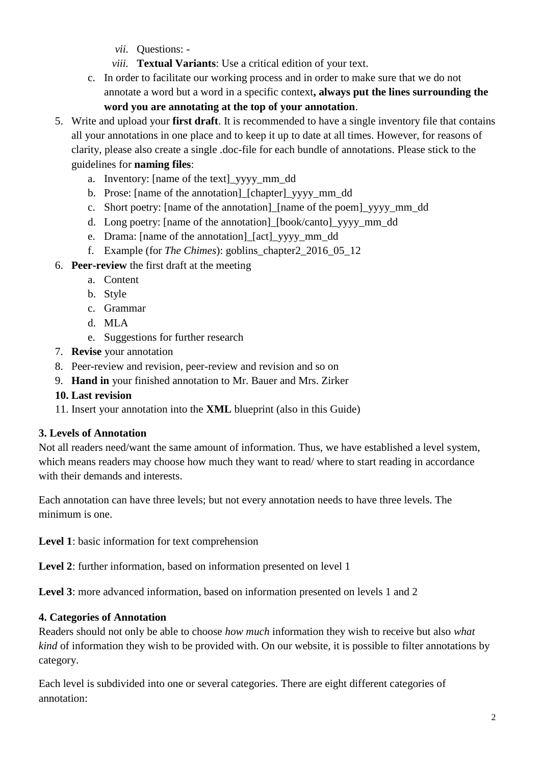- *vii.* Questions: -
- *viii.* **Textual Variants**: Use a critical edition of your text.
- c. In order to facilitate our working process and in order to make sure that we do not annotate a word but a word in a specific context**, always put the lines surrounding the word you are annotating at the top of your annotation**.
- 5. Write and upload your **first draft**. It is recommended to have a single inventory file that contains all your annotations in one place and to keep it up to date at all times. However, for reasons of clarity, please also create a single .doc-file for each bundle of annotations. Please stick to the guidelines for **naming files**:
	- a. Inventory: [name of the text]\_yyyy\_mm\_dd
	- b. Prose: [name of the annotation]\_[chapter]\_yyyy\_mm\_dd
	- c. Short poetry: [name of the annotation]\_[name of the poem]\_yyyy\_mm\_dd
	- d. Long poetry: [name of the annotation]\_[book/canto]\_yyyy\_mm\_dd
	- e. Drama: [name of the annotation]\_[act]\_yyyy\_mm\_dd
	- f. Example (for *The Chimes*): goblins\_chapter2\_2016\_05\_12
- 6. **Peer-review** the first draft at the meeting
	- a. Content
	- b. Style
	- c. Grammar
	- d. MLA
	- e. Suggestions for further research
- 7. **Revise** your annotation
- 8. Peer-review and revision, peer-review and revision and so on
- 9. **Hand in** your finished annotation to Mr. Bauer and Mrs. Zirker
- **10. Last revision**
- 11. Insert your annotation into the **XML** blueprint (also in this Guide)

### <span id="page-1-0"></span>**3. Levels of Annotation**

Not all readers need/want the same amount of information. Thus, we have established a level system, which means readers may choose how much they want to read/ where to start reading in accordance with their demands and interests.

Each annotation can have three levels; but not every annotation needs to have three levels. The minimum is one.

**Level 1**: basic information for text comprehension

**Level 2**: further information, based on information presented on level 1

**Level 3**: more advanced information, based on information presented on levels 1 and 2

## <span id="page-1-1"></span>**4. Categories of Annotation**

Readers should not only be able to choose *how much* information they wish to receive but also *what kind* of information they wish to be provided with. On our website, it is possible to filter annotations by category.

Each level is subdivided into one or several categories. There are eight different categories of annotation: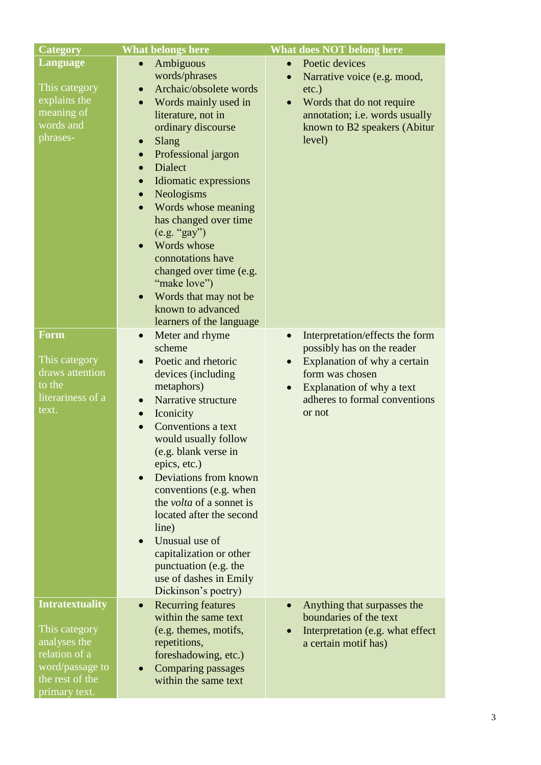<span id="page-2-2"></span><span id="page-2-1"></span><span id="page-2-0"></span>

| <b>Category</b>                                                                                                                 | <b>What belongs here</b>                                                                                                                                                                                                                                                                                                                                                                                                                                                                                                                                                     | <b>What does NOT belong here</b>                                                                                                                                                                                                |
|---------------------------------------------------------------------------------------------------------------------------------|------------------------------------------------------------------------------------------------------------------------------------------------------------------------------------------------------------------------------------------------------------------------------------------------------------------------------------------------------------------------------------------------------------------------------------------------------------------------------------------------------------------------------------------------------------------------------|---------------------------------------------------------------------------------------------------------------------------------------------------------------------------------------------------------------------------------|
| Language<br>This category<br>explains the<br>meaning of<br>words and<br>phrases-                                                | Ambiguous<br>$\bullet$<br>words/phrases<br>Archaic/obsolete words<br>$\bullet$<br>Words mainly used in<br>literature, not in<br>ordinary discourse<br>Slang<br>$\bullet$<br>Professional jargon<br>$\bullet$<br><b>Dialect</b><br>$\bullet$<br>Idiomatic expressions<br>$\bullet$<br>Neologisms<br>$\bullet$<br>Words whose meaning<br>$\bullet$<br>has changed over time<br>(e.g. "gay")<br>Words whose<br>$\bullet$<br>connotations have<br>changed over time (e.g.<br>"make love")<br>Words that may not be<br>$\bullet$<br>known to advanced<br>learners of the language | Poetic devices<br>$\bullet$<br>Narrative voice (e.g. mood,<br>$\bullet$<br>$etc.$ )<br>Words that do not require<br>annotation; i.e. words usually<br>known to B2 speakers (Abitur<br>level)                                    |
| <b>Form</b><br>This category<br>draws attention<br>to the<br>literariness of a<br>text.                                         | Meter and rhyme<br>$\bullet$<br>scheme<br>Poetic and rhetoric<br>$\bullet$<br>devices (including<br>metaphors)<br>Narrative structure<br>$\bullet$<br>Iconicity<br>$\bullet$<br>Conventions a text<br>$\bullet$<br>would usually follow<br>(e.g. blank verse in<br>epics, etc.)<br>Deviations from known<br>conventions (e.g. when<br>the <i>volta</i> of a sonnet is<br>located after the second<br>line)<br>Unusual use of<br>$\bullet$<br>capitalization or other<br>punctuation (e.g. the<br>use of dashes in Emily<br>Dickinson's poetry)                               | Interpretation/effects the form<br>$\bullet$<br>possibly has on the reader<br>Explanation of why a certain<br>$\bullet$<br>form was chosen<br>Explanation of why a text<br>$\bullet$<br>adheres to formal conventions<br>or not |
| <b>Intratextuality</b><br>This category<br>analyses the<br>relation of a<br>word/passage to<br>the rest of the<br>primary text. | <b>Recurring features</b><br>$\bullet$<br>within the same text<br>(e.g. themes, motifs,<br>repetitions,<br>foreshadowing, etc.)<br><b>Comparing passages</b><br>within the same text                                                                                                                                                                                                                                                                                                                                                                                         | Anything that surpasses the<br>$\bullet$<br>boundaries of the text<br>Interpretation (e.g. what effect<br>a certain motif has)                                                                                                  |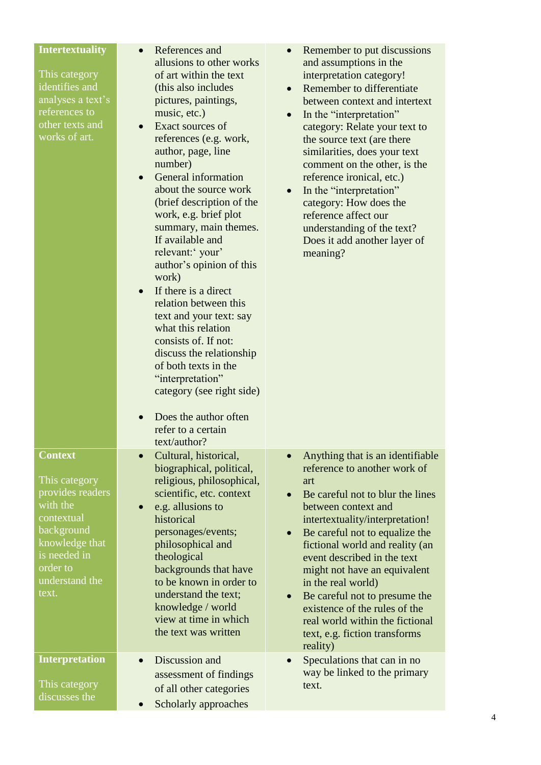<span id="page-3-2"></span><span id="page-3-1"></span><span id="page-3-0"></span>

| <b>Intertextuality</b><br>This category<br>identifies and<br>analyses a text's<br>references to<br>other texts and<br>works of art.                                  | References and<br>allusions to other works<br>of art within the text<br>(this also includes<br>pictures, paintings,<br>music, etc.)<br>Exact sources of<br>references (e.g. work,<br>author, page, line<br>number)<br>General information<br>$\bullet$<br>about the source work<br>(brief description of the<br>work, e.g. brief plot<br>summary, main themes.<br>If available and<br>relevant:' your'<br>author's opinion of this<br>work)<br>If there is a direct<br>relation between this<br>text and your text: say<br>what this relation<br>consists of. If not:<br>discuss the relationship<br>of both texts in the<br>"interpretation"<br>category (see right side)<br>Does the author often<br>refer to a certain<br>text/author? | Remember to put discussions<br>and assumptions in the<br>interpretation category!<br>Remember to differentiate<br>between context and intertext<br>In the "interpretation"<br>$\bullet$<br>category: Relate your text to<br>the source text (are there<br>similarities, does your text<br>comment on the other, is the<br>reference ironical, etc.)<br>In the "interpretation"<br>$\bullet$<br>category: How does the<br>reference affect our<br>understanding of the text?<br>Does it add another layer of<br>meaning?               |
|----------------------------------------------------------------------------------------------------------------------------------------------------------------------|-------------------------------------------------------------------------------------------------------------------------------------------------------------------------------------------------------------------------------------------------------------------------------------------------------------------------------------------------------------------------------------------------------------------------------------------------------------------------------------------------------------------------------------------------------------------------------------------------------------------------------------------------------------------------------------------------------------------------------------------|---------------------------------------------------------------------------------------------------------------------------------------------------------------------------------------------------------------------------------------------------------------------------------------------------------------------------------------------------------------------------------------------------------------------------------------------------------------------------------------------------------------------------------------|
| <b>Context</b><br>This category<br>provides readers<br>with the<br>contextual<br>background<br>knowledge that<br>is needed in<br>order to<br>understand the<br>text. | Cultural, historical,<br>biographical, political,<br>religious, philosophical,<br>scientific, etc. context<br>e.g. allusions to<br>historical<br>personages/events;<br>philosophical and<br>theological<br>backgrounds that have<br>to be known in order to<br>understand the text;<br>knowledge / world<br>view at time in which<br>the text was written                                                                                                                                                                                                                                                                                                                                                                                 | Anything that is an identifiable<br>$\bullet$<br>reference to another work of<br>art<br>Be careful not to blur the lines<br>$\bullet$<br>between context and<br>intertextuality/interpretation!<br>Be careful not to equalize the<br>$\bullet$<br>fictional world and reality (an<br>event described in the text<br>might not have an equivalent<br>in the real world)<br>Be careful not to presume the<br>$\bullet$<br>existence of the rules of the<br>real world within the fictional<br>text, e.g. fiction transforms<br>reality) |
| <b>Interpretation</b><br>This category<br>discusses the                                                                                                              | Discussion and<br>assessment of findings<br>of all other categories<br>Scholarly approaches                                                                                                                                                                                                                                                                                                                                                                                                                                                                                                                                                                                                                                               | Speculations that can in no<br>$\bullet$<br>way be linked to the primary<br>text.                                                                                                                                                                                                                                                                                                                                                                                                                                                     |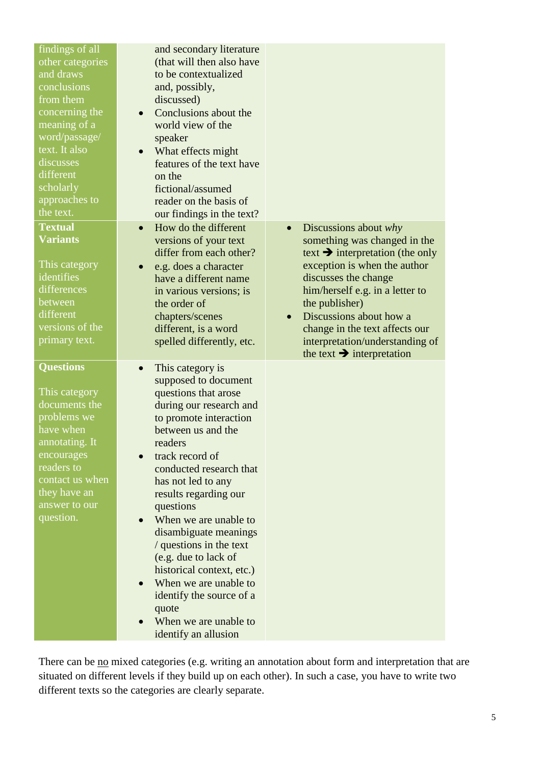<span id="page-4-0"></span>

| findings of all<br>other categories<br>and draws<br>conclusions<br>from them<br>concerning the<br>meaning of a<br>word/passage/<br>text. It also<br>discusses<br>different<br>scholarly<br>approaches to<br>the text.<br><b>Textual</b><br><b>Variants</b><br>This category<br>identifies<br>differences<br>between<br>different<br>versions of the<br>primary text. | and secondary literature<br>(that will then also have<br>to be contextualized<br>and, possibly,<br>discussed)<br>Conclusions about the<br>$\bullet$<br>world view of the<br>speaker<br>What effects might<br>$\bullet$<br>features of the text have<br>on the<br>fictional/assumed<br>reader on the basis of<br>our findings in the text?<br>How do the different<br>$\bullet$<br>versions of your text<br>differ from each other?<br>e.g. does a character<br>$\bullet$<br>have a different name<br>in various versions; is<br>the order of<br>chapters/scenes<br>different, is a word<br>spelled differently, etc. | Discussions about why<br>$\bullet$<br>something was changed in the<br>text $\rightarrow$ interpretation (the only<br>exception is when the author<br>discusses the change<br>him/herself e.g. in a letter to<br>the publisher)<br>Discussions about how a<br>$\bullet$<br>change in the text affects our<br>interpretation/understanding of |
|----------------------------------------------------------------------------------------------------------------------------------------------------------------------------------------------------------------------------------------------------------------------------------------------------------------------------------------------------------------------|----------------------------------------------------------------------------------------------------------------------------------------------------------------------------------------------------------------------------------------------------------------------------------------------------------------------------------------------------------------------------------------------------------------------------------------------------------------------------------------------------------------------------------------------------------------------------------------------------------------------|---------------------------------------------------------------------------------------------------------------------------------------------------------------------------------------------------------------------------------------------------------------------------------------------------------------------------------------------|
| <b>Questions</b><br>This category<br>documents the<br>problems we<br>have when<br>annotating. It<br>encourages<br>readers to<br>contact us when<br>they have an<br>answer to our<br>question.                                                                                                                                                                        | This category is<br>supposed to document<br>questions that arose<br>during our research and<br>to promote interaction<br>between us and the<br>readers<br>track record of<br>conducted research that<br>has not led to any<br>results regarding our<br>questions<br>When we are unable to<br>disambiguate meanings<br>/ questions in the text<br>(e.g. due to lack of<br>historical context, etc.)<br>When we are unable to<br>identify the source of a<br>quote<br>When we are unable to<br>identify an allusion                                                                                                    | the text $\rightarrow$ interpretation                                                                                                                                                                                                                                                                                                       |

<span id="page-4-1"></span>There can be no mixed categories (e.g. writing an annotation about form and interpretation that are situated on different levels if they build up on each other). In such a case, you have to write two different texts so the categories are clearly separate.